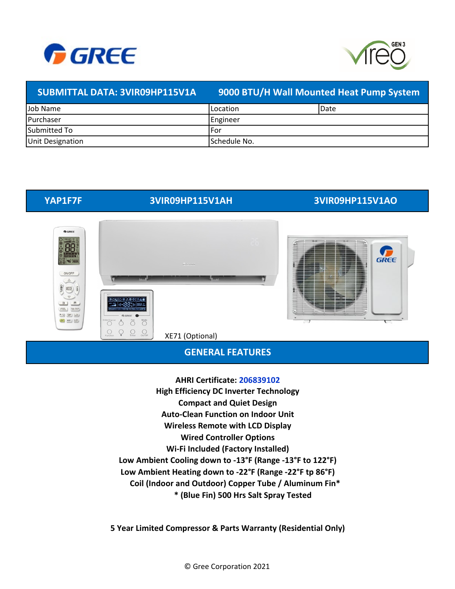



## **SUBMITTAL DATA: 3VIR09HP115V1A 9000 BTU/H Wall Mounted Heat Pump System** Job Name Purchaser Submitted To Unit Designation Location Date Engineer For Schedule No.

# **YAP1F7F 3VIR09HP115V1AH 3VIR09HP115V1AO**



## **GENERAL FEATURES**

**\* (Blue Fin) 500 Hrs Salt Spray Tested High Efficiency DC Inverter Technology Compact and Quiet Design Wireless Remote with LCD Display Wi-Fi Included (Factory Installed) Low Ambient Cooling down to -13°F (Range -13°F to 122°F) Low Ambient Heating down to -22°F (Range -22°F tp 86°F) Coil (Indoor and Outdoor) Copper Tube / Aluminum Fin\* Wired Controller Options AHRI Certificate: 206839102 Auto-Clean Function on Indoor Unit**

**5 Year Limited Compressor & Parts Warranty (Residential Only)**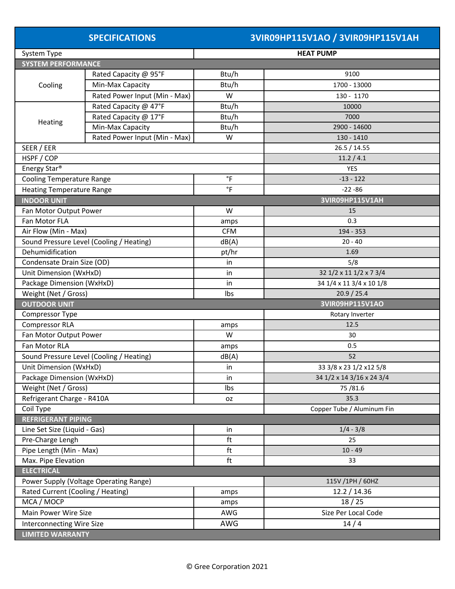| <b>SPECIFICATIONS</b> |  |  |  |
|-----------------------|--|--|--|
|                       |  |  |  |

# **SPECIFICATIONS 3VIR09HP115V1AO / 3VIR09HP115V1AH**

| System Type                              |                                          | <b>HEAT PUMP</b>    |                            |  |  |  |
|------------------------------------------|------------------------------------------|---------------------|----------------------------|--|--|--|
| <b>SYSTEM PERFORMANCE</b>                |                                          |                     |                            |  |  |  |
| Rated Capacity @ 95°F                    |                                          | Btu/h               | 9100                       |  |  |  |
| Cooling                                  | Min-Max Capacity                         | Btu/h               | 1700 - 13000               |  |  |  |
|                                          | Rated Power Input (Min - Max)            | W                   | 130 - 1170                 |  |  |  |
| Rated Capacity @ 47°F                    |                                          | Btu/h               | 10000                      |  |  |  |
|                                          | Rated Capacity @ 17°F                    | Btu/h               | 7000                       |  |  |  |
| Heating                                  | Min-Max Capacity                         | Btu/h               | 2900 - 14600               |  |  |  |
|                                          | Rated Power Input (Min - Max)            | W                   | 130 - 1410                 |  |  |  |
| SEER / EER                               |                                          |                     | 26.5 / 14.55               |  |  |  |
| HSPF / COP                               |                                          |                     | 11.2 / 4.1                 |  |  |  |
| Energy Star <sup>®</sup>                 |                                          |                     | <b>YES</b>                 |  |  |  |
| <b>Cooling Temperature Range</b>         |                                          | $\degree$ F         | $-13 - 122$                |  |  |  |
| <b>Heating Temperature Range</b>         |                                          | $^\circ \mathsf{F}$ | $-22 - 86$                 |  |  |  |
| <b>INDOOR UNIT</b>                       |                                          |                     | 3VIR09HP115V1AH            |  |  |  |
| Fan Motor Output Power                   |                                          | W                   | 15                         |  |  |  |
| Fan Motor FLA                            |                                          | amps                | 0.3                        |  |  |  |
| Air Flow (Min - Max)                     |                                          | <b>CFM</b>          | 194 - 353                  |  |  |  |
|                                          | Sound Pressure Level (Cooling / Heating) | dB(A)               | $20 - 40$                  |  |  |  |
| Dehumidification                         |                                          |                     | 1.69                       |  |  |  |
| Condensate Drain Size (OD)               |                                          | in                  | 5/8                        |  |  |  |
|                                          | Unit Dimension (WxHxD)                   |                     | 32 1/2 x 11 1/2 x 7 3/4    |  |  |  |
| Package Dimension (WxHxD)                |                                          | in                  | 34 1/4 x 11 3/4 x 10 1/8   |  |  |  |
| Weight (Net / Gross)                     |                                          | Ibs                 | 20.9 / 25.4                |  |  |  |
| <b>OUTDOOR UNIT</b>                      |                                          | 3VIR09HP115V1AO     |                            |  |  |  |
| Compressor Type                          |                                          |                     | Rotary Inverter            |  |  |  |
| <b>Compressor RLA</b>                    |                                          | amps                | 12.5                       |  |  |  |
| Fan Motor Output Power                   |                                          | W                   | 30                         |  |  |  |
| Fan Motor RLA                            |                                          | amps                | 0.5                        |  |  |  |
| Sound Pressure Level (Cooling / Heating) |                                          | dB(A)               | 52                         |  |  |  |
| Unit Dimension (WxHxD)                   |                                          | in                  | 33 3/8 x 23 1/2 x 12 5/8   |  |  |  |
| Package Dimension (WxHxD)                |                                          | in                  | 34 1/2 x 14 3/16 x 24 3/4  |  |  |  |
| Weight (Net / Gross)                     |                                          | Ibs                 | 75/81.6                    |  |  |  |
| Refrigerant Charge - R410A               |                                          | <b>OZ</b>           | 35.3                       |  |  |  |
| Coil Type                                |                                          |                     | Copper Tube / Aluminum Fin |  |  |  |
| <b>REFRIGERANT PIPING</b>                |                                          |                     |                            |  |  |  |
| Line Set Size (Liquid - Gas)             |                                          | in                  | $1/4 - 3/8$                |  |  |  |
| Pre-Charge Lengh                         |                                          |                     | 25                         |  |  |  |
| Pipe Length (Min - Max)                  |                                          | ft                  | $10 - 49$                  |  |  |  |
|                                          | Max. Pipe Elevation                      |                     | 33                         |  |  |  |
| <b>ELECTRICAL</b>                        |                                          |                     |                            |  |  |  |
|                                          | Power Supply (Voltage Operating Range)   | 115V /1PH / 60HZ    |                            |  |  |  |
| Rated Current (Cooling / Heating)        |                                          | amps                | 12.2 / 14.36               |  |  |  |
| MCA / MOCP                               |                                          | amps                | 18/25                      |  |  |  |
| Main Power Wire Size                     |                                          | AWG                 | Size Per Local Code        |  |  |  |
| <b>Interconnecting Wire Size</b>         |                                          | AWG                 | 14/4                       |  |  |  |
| <b>LIMITED WARRANTY</b>                  |                                          |                     |                            |  |  |  |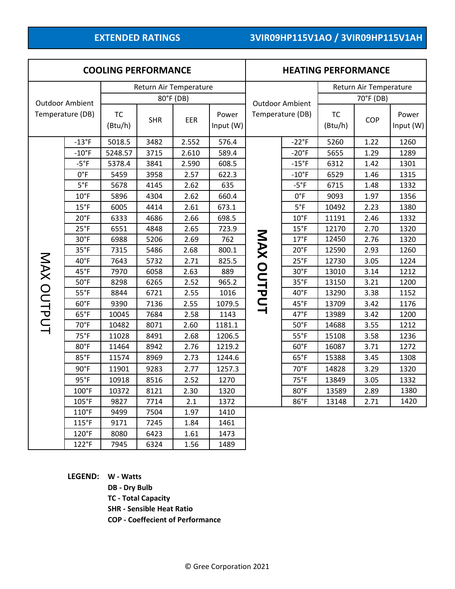| <b>COOLING PERFORMANCE</b> |                                            |         |            |       | <b>HEATING PERFORMANCE</b> |                        |                |                      |      |                    |
|----------------------------|--------------------------------------------|---------|------------|-------|----------------------------|------------------------|----------------|----------------------|------|--------------------|
| Return Air Temperature     |                                            |         |            |       | Return Air Temperature     |                        |                |                      |      |                    |
|                            |                                            |         | 80°F (DB)  |       |                            | <b>Outdoor Ambient</b> |                | 70°F (DB)            |      |                    |
|                            | <b>Outdoor Ambient</b><br>Temperature (DB) |         | <b>SHR</b> | EER   | Power<br>Input (W)         | Temperature (DB)       |                | <b>TC</b><br>(Btu/h) | COP  | Power<br>Input (W) |
|                            | $-13$ °F                                   | 5018.5  | 3482       | 2.552 | 576.4                      |                        | $-22^{\circ}F$ | 5260                 | 1.22 | 1260               |
|                            | $-10$ °F                                   | 5248.57 | 3715       | 2.610 | 589.4                      | MAX OUTPUT             | $-20^{\circ}F$ | 5655                 | 1.29 | 1289               |
|                            | $-5^{\circ}F$                              | 5378.4  | 3841       | 2.590 | 608.5                      |                        | $-15^{\circ}F$ | 6312                 | 1.42 | 1301               |
|                            | $0^{\circ}F$                               | 5459    | 3958       | 2.57  | 622.3                      |                        | $-10$ °F       | 6529                 | 1.46 | 1315               |
|                            | $5^{\circ}F$                               | 5678    | 4145       | 2.62  | 635                        |                        | $-5^{\circ}F$  | 6715                 | 1.48 | 1332               |
|                            | $10^{\circ}$ F                             | 5896    | 4304       | 2.62  | 660.4                      |                        | $0^{\circ}F$   | 9093                 | 1.97 | 1356               |
|                            | $15^{\circ}$ F                             | 6005    | 4414       | 2.61  | 673.1                      |                        | $5^{\circ}F$   | 10492                | 2.23 | 1380               |
|                            | $20^{\circ}F$                              | 6333    | 4686       | 2.66  | 698.5                      |                        | $10^{\circ}$ F | 11191                | 2.46 | 1332               |
|                            | $25^{\circ}F$                              | 6551    | 4848       | 2.65  | 723.9                      |                        | $15^{\circ}$ F | 12170                | 2.70 | 1320               |
|                            | $30^{\circ}$ F                             | 6988    | 5206       | 2.69  | 762                        |                        | 17°F           | 12450                | 2.76 | 1320               |
|                            | $35^{\circ}F$                              | 7315    | 5486       | 2.68  | 800.1                      |                        | $20^{\circ}$ F | 12590                | 2.93 | 1260               |
|                            | 40°F                                       | 7643    | 5732       | 2.71  | 825.5                      |                        | $25^{\circ}F$  | 12730                | 3.05 | 1224               |
|                            | 45°F                                       | 7970    | 6058       | 2.63  | 889                        |                        | 30°F           | 13010                | 3.14 | 1212               |
|                            | $50^{\circ}$ F                             | 8298    | 6265       | 2.52  | 965.2                      |                        | $35^{\circ}F$  | 13150                | 3.21 | 1200               |
| MAX OUTPUT                 | $55^{\circ}$ F                             | 8844    | 6721       | 2.55  | 1016                       |                        | 40°F           | 13290                | 3.38 | 1152               |
|                            | $60^{\circ}$ F                             | 9390    | 7136       | 2.55  | 1079.5                     |                        | 45°F           | 13709                | 3.42 | 1176               |
|                            | $65^{\circ}F$                              | 10045   | 7684       | 2.58  | 1143                       |                        | $47^{\circ}$ F | 13989                | 3.42 | 1200               |
|                            | 70°F                                       | 10482   | 8071       | 2.60  | 1181.1                     |                        | $50^{\circ}$ F | 14688                | 3.55 | 1212               |
|                            | 75°F                                       | 11028   | 8491       | 2.68  | 1206.5                     |                        | $55^{\circ}$ F | 15108                | 3.58 | 1236               |
|                            | 80°F                                       | 11464   | 8942       | 2.76  | 1219.2                     |                        | $60^{\circ}$ F | 16087                | 3.71 | 1272               |
|                            | 85°F                                       | 11574   | 8969       | 2.73  | 1244.6                     |                        | $65^{\circ}F$  | 15388                | 3.45 | 1308               |
|                            | $90^\circ F$                               | 11901   | 9283       | 2.77  | 1257.3                     |                        | $70^{\circ}$ F | 14828                | 3.29 | 1320               |
|                            | $95^{\circ}F$                              | 10918   | 8516       | 2.52  | 1270                       |                        | 75°F           | 13849                | 3.05 | 1332               |
|                            | $100°$ F                                   | 10372   | 8121       | 2.30  | 1320                       |                        | 80°F           | 13589                | 2.89 | 1380               |
|                            | 105°F                                      | 9827    | 7714       | 2.1   | 1372                       |                        | 86°F           | 13148                | 2.71 | 1420               |
|                            | 110°F                                      | 9499    | 7504       | 1.97  | 1410                       |                        |                |                      |      |                    |
|                            | 115°F                                      | 9171    | 7245       | 1.84  | 1461                       |                        |                |                      |      |                    |
|                            | 120°F                                      | 8080    | 6423       | 1.61  | 1473                       |                        |                |                      |      |                    |
|                            | 122°F                                      | 7945    | 6324       | 1.56  | 1489                       |                        |                |                      |      |                    |

**LEGEND: W - Watts**

**DB - Dry Bulb**

**TC - Total Capacity**

**SHR - Sensible Heat Ratio**

**COP - Coeffecient of Performance**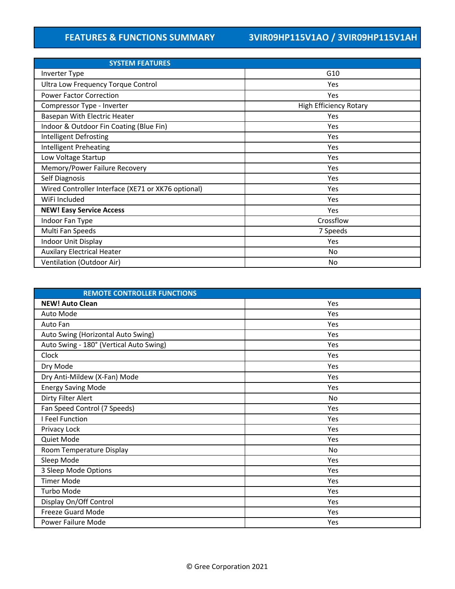| <b>SYSTEM FEATURES</b>                             |                        |  |  |  |  |
|----------------------------------------------------|------------------------|--|--|--|--|
| Inverter Type                                      | G10                    |  |  |  |  |
| <b>Ultra Low Frequency Torque Control</b>          | Yes                    |  |  |  |  |
| <b>Power Factor Correction</b>                     | Yes                    |  |  |  |  |
| Compressor Type - Inverter                         | High Efficiency Rotary |  |  |  |  |
| Basepan With Electric Heater                       | Yes                    |  |  |  |  |
| Indoor & Outdoor Fin Coating (Blue Fin)            | <b>Yes</b>             |  |  |  |  |
| Intelligent Defrosting                             | Yes                    |  |  |  |  |
| <b>Intelligent Preheating</b>                      | Yes                    |  |  |  |  |
| Low Voltage Startup                                | Yes                    |  |  |  |  |
| Memory/Power Failure Recovery                      | Yes                    |  |  |  |  |
| Self Diagnosis                                     | Yes                    |  |  |  |  |
| Wired Controller Interface (XE71 or XK76 optional) | Yes                    |  |  |  |  |
| WiFi Included                                      | Yes                    |  |  |  |  |
| <b>NEW! Easy Service Access</b>                    | Yes                    |  |  |  |  |
| Indoor Fan Type                                    | Crossflow              |  |  |  |  |
| Multi Fan Speeds                                   | 7 Speeds               |  |  |  |  |
| <b>Indoor Unit Display</b>                         | Yes                    |  |  |  |  |
| <b>Auxilary Electrical Heater</b>                  | No                     |  |  |  |  |
| Ventilation (Outdoor Air)                          | No                     |  |  |  |  |

| <b>REMOTE CONTROLLER FUNCTIONS</b>      |     |
|-----------------------------------------|-----|
| <b>NEW! Auto Clean</b>                  | Yes |
| Auto Mode                               | Yes |
| Auto Fan                                | Yes |
| Auto Swing (Horizontal Auto Swing)      | Yes |
| Auto Swing - 180° (Vertical Auto Swing) | Yes |
| Clock                                   | Yes |
| Dry Mode                                | Yes |
| Dry Anti-Mildew (X-Fan) Mode            | Yes |
| <b>Energy Saving Mode</b>               | Yes |
| Dirty Filter Alert                      | No  |
| Fan Speed Control (7 Speeds)            | Yes |
| I Feel Function                         | Yes |
| Privacy Lock                            | Yes |
| Quiet Mode                              | Yes |
| Room Temperature Display                | No  |
| Sleep Mode                              | Yes |
| 3 Sleep Mode Options                    | Yes |
| <b>Timer Mode</b>                       | Yes |
| Turbo Mode                              | Yes |
| Display On/Off Control                  | Yes |
| Freeze Guard Mode                       | Yes |
| Power Failure Mode                      | Yes |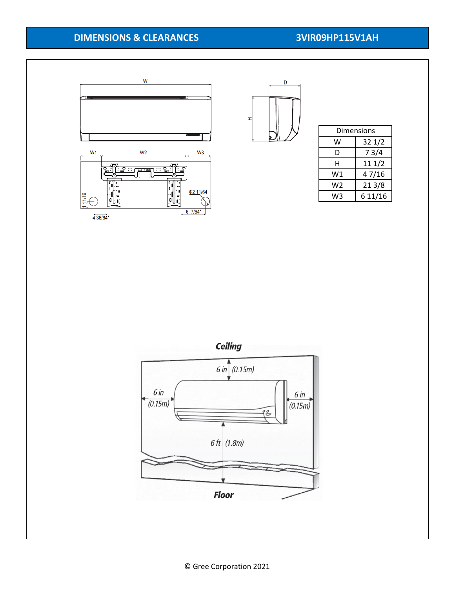# **DIMENSIONS & CLEARANCES 3VIR09HP115V1AH**